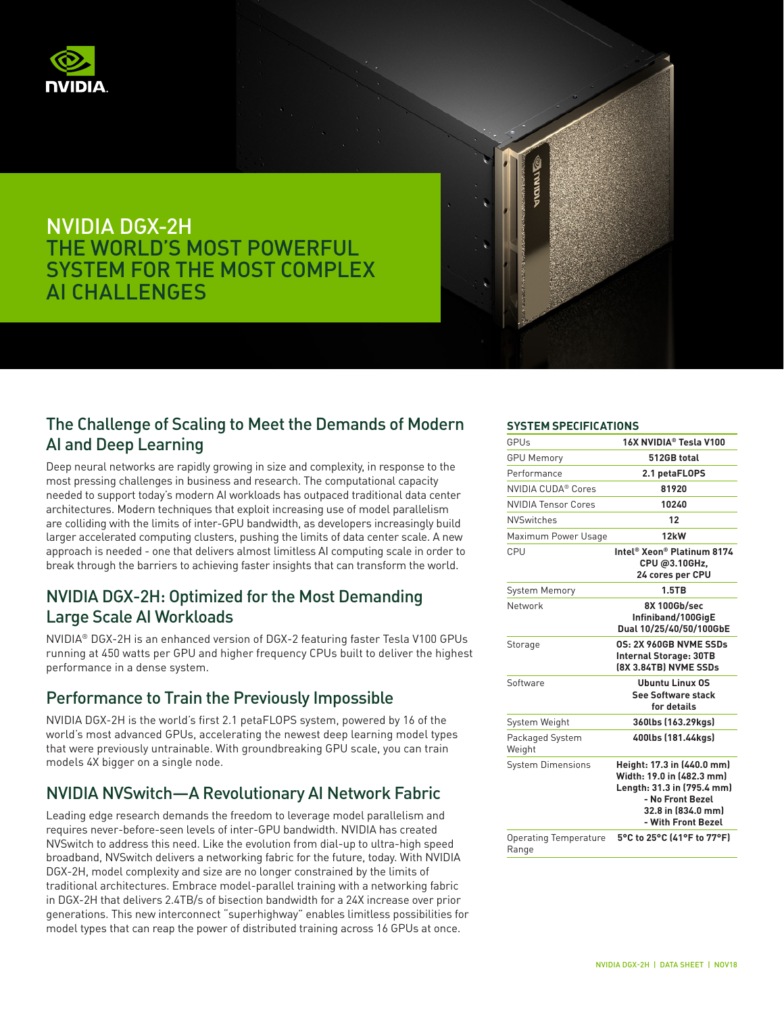

# NVIDIA DGX-2H THE WORLD'S MOST POWERFUL SYSTEM FOR THE MOST COMPLEX AI CHALLENGES

### The Challenge of Scaling to Meet the Demands of Modern AI and Deep Learning

Deep neural networks are rapidly growing in size and complexity, in response to the most pressing challenges in business and research. The computational capacity needed to support today's modern AI workloads has outpaced traditional data center architectures. Modern techniques that exploit increasing use of model parallelism are colliding with the limits of inter-GPU bandwidth, as developers increasingly build larger accelerated computing clusters, pushing the limits of data center scale. A new approach is needed - one that delivers almost limitless AI computing scale in order to break through the barriers to achieving faster insights that can transform the world.

## NVIDIA DGX-2H: Optimized for the Most Demanding Large Scale AI Workloads

NVIDIA® DGX-2H is an enhanced version of DGX-2 featuring faster Tesla V100 GPUs running at 450 watts per GPU and higher frequency CPUs built to deliver the highest performance in a dense system.

### Performance to Train the Previously Impossible

NVIDIA DGX-2H is the world's first 2.1 petaFLOPS system, powered by 16 of the world's most advanced GPUs, accelerating the newest deep learning model types that were previously untrainable. With groundbreaking GPU scale, you can train models 4X bigger on a single node.

### NVIDIA NVSwitch—A Revolutionary AI Network Fabric

Leading edge research demands the freedom to leverage model parallelism and requires never-before-seen levels of inter-GPU bandwidth. NVIDIA has created NVSwitch to address this need. Like the evolution from dial-up to ultra-high speed broadband, NVSwitch delivers a networking fabric for the future, today. With NVIDIA DGX-2H, model complexity and size are no longer constrained by the limits of traditional architectures. Embrace model-parallel training with a networking fabric in DGX-2H that delivers 2.4TB/s of bisection bandwidth for a 24X increase over prior generations. This new interconnect "superhighway" enables limitless possibilities for model types that can reap the power of distributed training across 16 GPUs at once.

#### **SYSTEM SPECIFICATIONS**

| GPUs                                  | 16X NVIDIA® Tesla V100                                                                                                                                |
|---------------------------------------|-------------------------------------------------------------------------------------------------------------------------------------------------------|
| <b>GPU Memory</b>                     | 512GB total                                                                                                                                           |
| Performance                           | 2.1 petaFLOPS                                                                                                                                         |
| NVIDIA CUDA® Cores                    | 81920                                                                                                                                                 |
| <b>NVIDIA Tensor Cores</b>            | 10240                                                                                                                                                 |
| <b>NVSwitches</b>                     | 12                                                                                                                                                    |
| Maximum Power Usage                   | 12kW                                                                                                                                                  |
| CPU                                   | Intel® Xeon® Platinum 8174<br>CPU @3.10GHz,<br>24 cores per CPU                                                                                       |
| <b>System Memory</b>                  | 1.5TB                                                                                                                                                 |
| Network                               | 8X 100Gb/sec<br>Infiniband/100GigE<br>Dual 10/25/40/50/100GbE                                                                                         |
| Storage                               | 0S: 2X 960GB NVME SSDs<br><b>Internal Storage: 30TB</b><br>(8X 3.84TB) NVME SSDs                                                                      |
| Software                              | <b>Ubuntu Linux OS</b><br><b>See Software stack</b><br>for details                                                                                    |
| System Weight                         | 360lbs (163.29kgs)                                                                                                                                    |
| Packaged System<br>Weight             | 400lbs (181.44kgs)                                                                                                                                    |
| <b>System Dimensions</b>              | Height: 17.3 in (440.0 mm)<br>Width: 19.0 in (482.3 mm)<br>Length: 31.3 in (795.4 mm)<br>- No Front Bezel<br>32.8 in (834.0 mm)<br>- With Front Bezel |
| <b>Operating Temperature</b><br>Range | 5°C to 25°C (41°F to 77°F)                                                                                                                            |